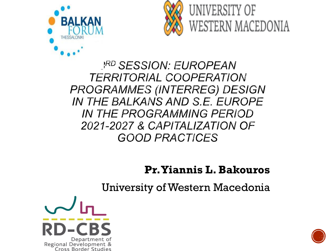



**JRD SESSION: EUROPEAN TERRITORIAL COOPERATION PROGRAMMES (INTERREG) DESIGN** IN THE BALKANS AND S.E. EUROPE *IN THE PROGRAMMING PERIOD* 2021-2027 & CAPITALIZATION OF **GOOD PRACTICES** 

#### **Pr. Yiannis L. Bakouros**

University of Western Macedonia



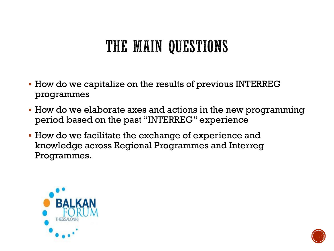### THE MAIN QUESTIONS

- How do we capitalize on the results of previous INTERREG programmes
- How do we elaborate axes and actions in the new programming period based on the past "INTERREG" experience
- How do we facilitate the exchange of experience and knowledge across Regional Programmes and Interreg Programmes.



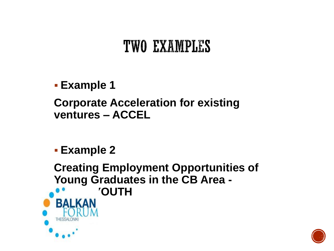### TWO EXAMPLES

 **Example 1 Corporate Acceleration for existing ventures – ACCEL**

**Example 2**

**Creating Employment Opportunities of Young Graduates in the CB Area - 'OUTH** BALKAN

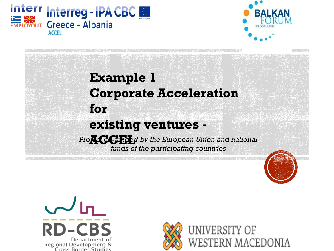



### **Example 1 Corporate Acceleration for existing ventures -** *Project co* **ACCEL** *-funded by the European Union and national funds of the participating countries*





UNIVERSITY OF **WESTERN MACEDONIA**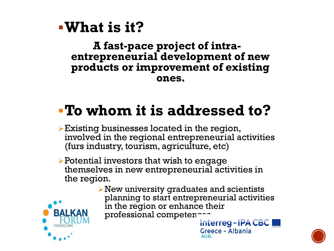### **What is it?**

#### **A fast-pace project of intraentrepreneurial development of new products or improvement of existing ones.**

### **To whom it is addressed to?**

- $\triangleright$  Existing businesses located in the region, involved in the regional entrepreneurial activities (furs industry, tourism, agriculture, etc)
- $\triangleright$  Potential investors that wish to engage themselves in new entrepreneurial activities in the region.
	- $\triangleright$  New university graduates and scientists planning to start entrepreneurial activities in the region or enhance their professional competencessing and the liter reg - IPA CBC



**Greece - Albania** 

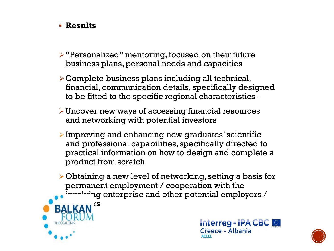#### **Results**

- $\triangleright$  "Personalized" mentoring, focused on their future business plans, personal needs and capacities
- Complete business plans including all technical, financial, communication details, specifically designed to be fitted to the specific regional characteristics –
- $\triangleright$  Uncover new ways of accessing financial resources and networking with potential investors
- $\triangleright$  Improving and enhancing new graduates' scientific and professional capabilities, specifically directed to practical information on how to design and complete a product from scratch
- $\triangleright$  Obtaining a new level of networking, setting a basis for permanent employment / cooperation with the  $\log$  enterprise and other potential employers /





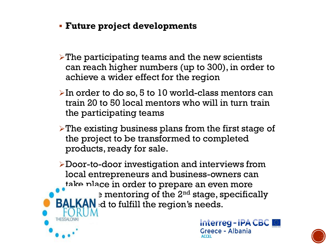- **Future project developments**
- $\triangleright$  The participating teams and the new scientists can reach higher numbers (up to 300), in order to achieve a wider effect for the region
- $\triangleright$  In order to do so, 5 to 10 world-class mentors can train 20 to 50 local mentors who will in turn train the participating teams
- $\triangleright$  The existing business plans from the first stage of the project to be transformed to completed products, ready for sale.

Door-to-door investigation and interviews from local entrepreneurs and business-owners can take place in order to prepare an even more e mentoring of the  $2^{nd}$  stage, specifically  $\mathsf{BALKAN}$  at to fulfill the region's needs.



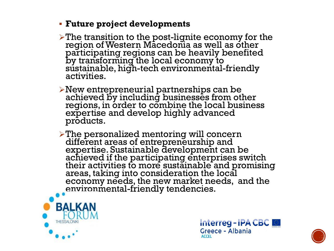#### **Future project developments**

 $\triangleright$  The transition to the post-lignite economy for the region of Western Macedonia as well as other participating regions can be heavily benefited by transforming the local economy to sustainable, high-tech environmental-friendly activities.

New entrepreneurial partnerships can be achieved by including businesses from other regions, in order to combine the local business expertise and develop highly advanced products.

The personalized mentoring will concern different areas of entrepreneurship and expertise. Sustainable development can be achieved if the participating enterprises switch their activities to more sustainable and promising areas, taking into consideration the local economy needs, the new market needs, and the environmental-friendly tendencies.





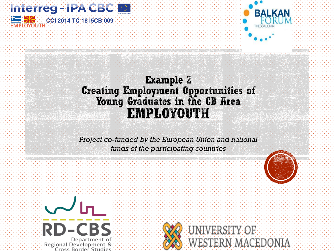



#### **Example 2 Creating Employment Opportunities of** Young Graduates in the CB Area **EMPLOYOUTH**

*Project co-funded by the European Union and national funds of the participating countries*



VERSITY OF

**WESTERN MACEDONIA** 

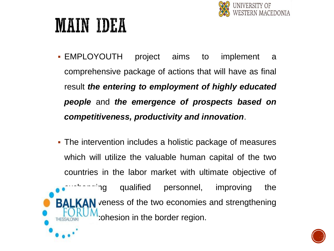

# **MAIN IDEA**

- EMPLOYOUTH project aims to implement a comprehensive package of actions that will have as final result *the entering to employment of highly educated people* and *the emergence of prospects based on competitiveness, productivity and innovation*.
- The intervention includes a holistic package of measures which will utilize the valuable human capital of the two countries in the labor market with ultimate objective of  $\tilde{\ }$ ng qualified personnel, improving the AN veness of the two economies and strengthening cohesion in the border region.

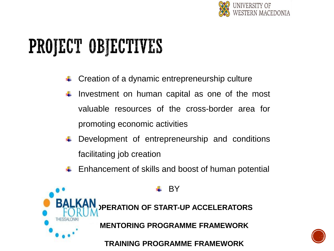

# PROJECT OBJECTIVES

- Creation of a dynamic entrepreneurship culture
- Investment on human capital as one of the most valuable resources of the cross-border area for promoting economic activities
- Development of entrepreneurship and conditions facilitating job creation
- $\leftarrow$  Enhancement of skills and boost of human potential



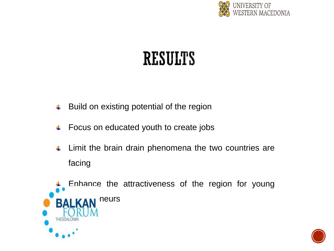

## RESULTS

- Build on existing potential of the region ÷
- Focus on educated youth to create jobs ÷
- Limit the brain drain phenomena the two countries are ₩ facing



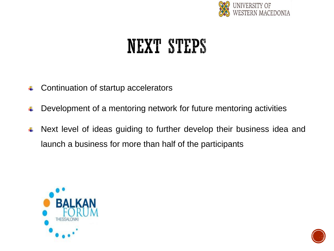

## **NEXT STEPS**

- Continuation of startup accelerators
- Development of a mentoring network for future mentoring activities
- Next level of ideas guiding to further develop their business idea and 4 launch a business for more than half of the participants



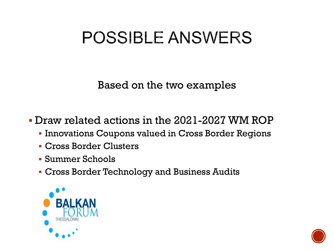## POSSIBLE ANSWERS

Based on the two examples

Draw related actions in the 2021-2027 WM ROP

- **Innovations Coupons valued in Cross Border Regions**
- Cross Border Clusters
- Summer Schools
- Cross Border Technology and Business Audits